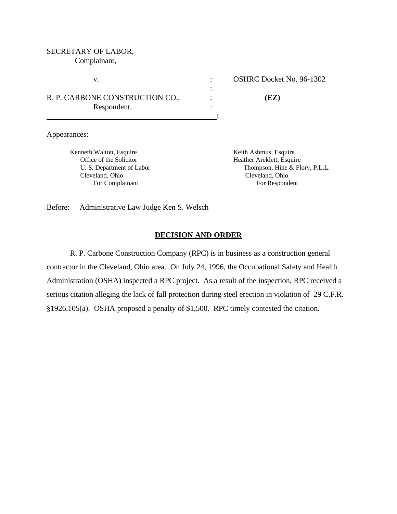# SECRETARY OF LABOR,

Complainant,

R. P. CARBONE CONSTRUCTION CO., : **(EZ)** Respondent. : :

v. : OSHRC Docket No. 96-1302

Appearances:

Kenneth Walton, Esquire Keith Ashmus, Esquire Keith Ashmus, Esquire Office of the Solicitor Heather Areklett, Esquire Cleveland, Ohio Cleveland, Ohio

 U. S. Department of Labor Thompson, Hine & Flory, P.L.L. For Complainant For Respondent

Before: Administrative Law Judge Ken S. Welsch

## **DECISION AND ORDER**

:

R. P. Carbone Construction Company (RPC) is in business as a construction general contractor in the Cleveland, Ohio area. On July 24, 1996, the Occupational Safety and Health Administration (OSHA) inspected a RPC project. As a result of the inspection, RPC received a serious citation alleging the lack of fall protection during steel erection in violation of 29 C.F.R. §1926.105(a). OSHA proposed a penalty of \$1,500. RPC timely contested the citation.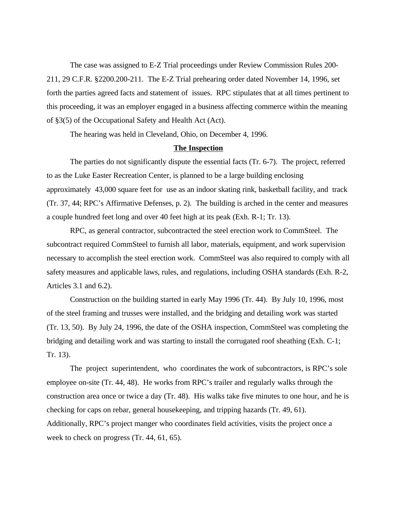The case was assigned to E-Z Trial proceedings under Review Commission Rules 200- 211, 29 C.F.R. §2200.200-211. The E-Z Trial prehearing order dated November 14, 1996, set forth the parties agreed facts and statement of issues. RPC stipulates that at all times pertinent to this proceeding, it was an employer engaged in a business affecting commerce within the meaning of §3(5) of the Occupational Safety and Health Act (Act).

The hearing was held in Cleveland, Ohio, on December 4, 1996.

### **The Inspection**

The parties do not significantly dispute the essential facts (Tr. 6-7). The project, referred to as the Luke Easter Recreation Center, is planned to be a large building enclosing approximately 43,000 square feet for use as an indoor skating rink, basketball facility, and track (Tr. 37, 44; RPC's Affirmative Defenses, p. 2). The building is arched in the center and measures a couple hundred feet long and over 40 feet high at its peak (Exh. R-1; Tr. 13).

RPC, as general contractor, subcontracted the steel erection work to CommSteel. The subcontract required CommSteel to furnish all labor, materials, equipment, and work supervision necessary to accomplish the steel erection work. CommSteel was also required to comply with all safety measures and applicable laws, rules, and regulations, including OSHA standards (Exh. R-2, Articles 3.1 and 6.2).

 Construction on the building started in early May 1996 (Tr. 44). By July 10, 1996, most of the steel framing and trusses were installed, and the bridging and detailing work was started (Tr. 13, 50). By July 24, 1996, the date of the OSHA inspection, CommSteel was completing the bridging and detailing work and was starting to install the corrugated roof sheathing (Exh. C-1; Tr. 13).

 The project superintendent, who coordinates the work of subcontractors, is RPC's sole employee on-site (Tr. 44, 48). He works from RPC's trailer and regularly walks through the construction area once or twice a day (Tr. 48). His walks take five minutes to one hour, and he is checking for caps on rebar, general housekeeping, and tripping hazards (Tr. 49, 61). Additionally, RPC's project manger who coordinates field activities, visits the project once a week to check on progress (Tr. 44, 61, 65).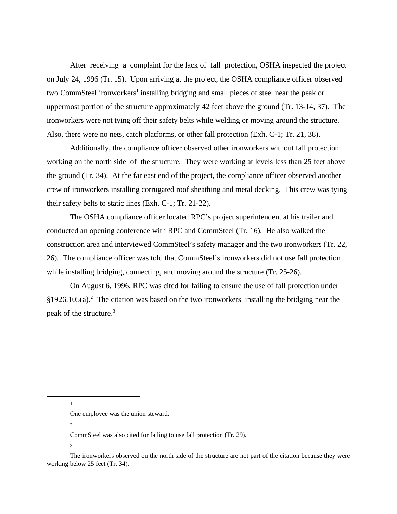After receiving a complaint for the lack of fall protection, OSHA inspected the project on July 24, 1996 (Tr. 15). Upon arriving at the project, the OSHA compliance officer observed two CommSteel ironworkers<sup>1</sup> installing bridging and small pieces of steel near the peak or uppermost portion of the structure approximately 42 feet above the ground (Tr. 13-14, 37). The ironworkers were not tying off their safety belts while welding or moving around the structure. Also, there were no nets, catch platforms, or other fall protection (Exh. C-1; Tr. 21, 38).

Additionally, the compliance officer observed other ironworkers without fall protection working on the north side of the structure. They were working at levels less than 25 feet above the ground (Tr. 34). At the far east end of the project, the compliance officer observed another crew of ironworkers installing corrugated roof sheathing and metal decking. This crew was tying their safety belts to static lines (Exh. C-1; Tr. 21-22).

The OSHA compliance officer located RPC's project superintendent at his trailer and conducted an opening conference with RPC and CommSteel (Tr. 16). He also walked the construction area and interviewed CommSteel's safety manager and the two ironworkers (Tr. 22, 26). The compliance officer was told that CommSteel's ironworkers did not use fall protection while installing bridging, connecting, and moving around the structure (Tr. 25-26).

On August 6, 1996, RPC was cited for failing to ensure the use of fall protection under  $§1926.105(a).$ <sup>2</sup> The citation was based on the two ironworkers installing the bridging near the peak of the structure.<sup>3</sup>

1

2

3

One employee was the union steward.

CommSteel was also cited for failing to use fall protection (Tr. 29).

The ironworkers observed on the north side of the structure are not part of the citation because they were working below 25 feet (Tr. 34).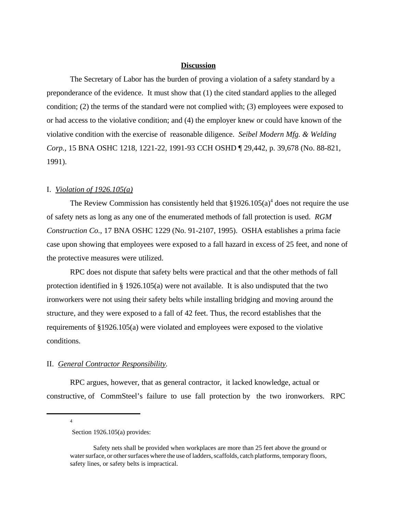#### **Discussion**

The Secretary of Labor has the burden of proving a violation of a safety standard by a preponderance of the evidence. It must show that (1) the cited standard applies to the alleged condition; (2) the terms of the standard were not complied with; (3) employees were exposed to or had access to the violative condition; and (4) the employer knew or could have known of the violative condition with the exercise of reasonable diligence. *Seibel Modern Mfg. & Welding Corp.*, 15 BNA OSHC 1218, 1221-22, 1991-93 CCH OSHD ¶ 29,442, p. 39,678 (No. 88-821, 1991).

#### I. *Violation of 1926.105(a)*

The Review Commission has consistently held that  $$1926.105(a)<sup>4</sup>$  does not require the use of safety nets as long as any one of the enumerated methods of fall protection is used. *RGM Construction Co.*, 17 BNA OSHC 1229 (No. 91-2107, 1995). OSHA establishes a prima facie case upon showing that employees were exposed to a fall hazard in excess of 25 feet, and none of the protective measures were utilized.

RPC does not dispute that safety belts were practical and that the other methods of fall protection identified in § 1926.105(a) were not available. It is also undisputed that the two ironworkers were not using their safety belts while installing bridging and moving around the structure, and they were exposed to a fall of 42 feet. Thus, the record establishes that the requirements of §1926.105(a) were violated and employees were exposed to the violative conditions.

#### II. *General Contractor Responsibility.*

RPC argues, however, that as general contractor, it lacked knowledge, actual or constructive, of CommSteel's failure to use fall protection by the two ironworkers. RPC

4

Section 1926.105(a) provides:

Safety nets shall be provided when workplaces are more than 25 feet above the ground or water surface, or other surfaces where the use of ladders, scaffolds, catch platforms, temporary floors, safety lines, or safety belts is impractical.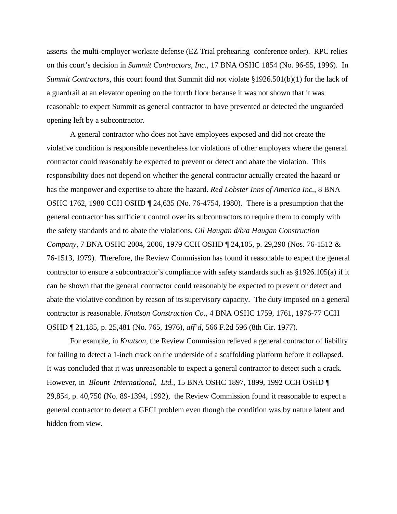asserts the multi-employer worksite defense (EZ Trial prehearing conference order). RPC relies on this court's decision in *Summit Contractors, Inc*., 17 BNA OSHC 1854 (No. 96-55, 1996). In *Summit Contractors,* this court found that Summit did not violate §1926.501(b)(1) for the lack of a guardrail at an elevator opening on the fourth floor because it was not shown that it was reasonable to expect Summit as general contractor to have prevented or detected the unguarded opening left by a subcontractor.

A general contractor who does not have employees exposed and did not create the violative condition is responsible nevertheless for violations of other employers where the general contractor could reasonably be expected to prevent or detect and abate the violation. This responsibility does not depend on whether the general contractor actually created the hazard or has the manpower and expertise to abate the hazard. *Red Lobster Inns of America Inc.*, 8 BNA OSHC 1762, 1980 CCH OSHD ¶ 24,635 (No. 76-4754, 1980). There is a presumption that the general contractor has sufficient control over its subcontractors to require them to comply with the safety standards and to abate the violations. *Gil Haugan d/b/a Haugan Construction Company*, 7 BNA OSHC 2004, 2006, 1979 CCH OSHD ¶ 24,105, p. 29,290 (Nos. 76-1512 & 76-1513, 1979). Therefore, the Review Commission has found it reasonable to expect the general contractor to ensure a subcontractor's compliance with safety standards such as §1926.105(a) if it can be shown that the general contractor could reasonably be expected to prevent or detect and abate the violative condition by reason of its supervisory capacity. The duty imposed on a general contractor is reasonable. *Knutson Construction Co*., 4 BNA OSHC 1759, 1761, 1976-77 CCH OSHD ¶ 21,185, p. 25,481 (No. 765, 1976), *aff'd,* 566 F.2d 596 (8th Cir. 1977).

For example, in *Knutson,* the Review Commission relieved a general contractor of liability for failing to detect a 1-inch crack on the underside of a scaffolding platform before it collapsed. It was concluded that it was unreasonable to expect a general contractor to detect such a crack. However, in *Blount International, Ltd.*, 15 BNA OSHC 1897, 1899, 1992 CCH OSHD ¶ 29,854, p. 40,750 (No. 89-1394, 1992), the Review Commission found it reasonable to expect a general contractor to detect a GFCI problem even though the condition was by nature latent and hidden from view*.*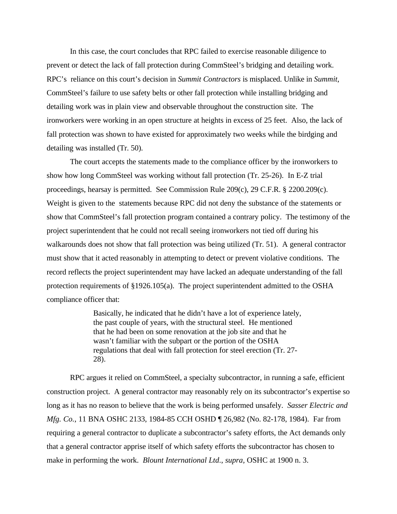In this case, the court concludes that RPC failed to exercise reasonable diligence to prevent or detect the lack of fall protection during CommSteel's bridging and detailing work. RPC's reliance on this court's decision in *Summit Contractors* is misplaced. Unlike in *Summit*, CommSteel's failure to use safety belts or other fall protection while installing bridging and detailing work was in plain view and observable throughout the construction site. The ironworkers were working in an open structure at heights in excess of 25 feet. Also, the lack of fall protection was shown to have existed for approximately two weeks while the birdging and detailing was installed (Tr. 50).

 The court accepts the statements made to the compliance officer by the ironworkers to show how long CommSteel was working without fall protection (Tr. 25-26). In E-Z trial proceedings, hearsay is permitted. See Commission Rule 209(c), 29 C.F.R. § 2200.209(c). Weight is given to the statements because RPC did not deny the substance of the statements or show that CommSteel's fall protection program contained a contrary policy. The testimony of the project superintendent that he could not recall seeing ironworkers not tied off during his walkarounds does not show that fall protection was being utilized (Tr. 51). A general contractor must show that it acted reasonably in attempting to detect or prevent violative conditions. The record reflects the project superintendent may have lacked an adequate understanding of the fall protection requirements of §1926.105(a). The project superintendent admitted to the OSHA compliance officer that:

> Basically, he indicated that he didn't have a lot of experience lately, the past couple of years, with the structural steel. He mentioned that he had been on some renovation at the job site and that he wasn't familiar with the subpart or the portion of the OSHA regulations that deal with fall protection for steel erection (Tr. 27- 28).

RPC argues it relied on CommSteel, a specialty subcontractor, in running a safe, efficient construction project. A general contractor may reasonably rely on its subcontractor's expertise so long as it has no reason to believe that the work is being performed unsafely. *Sasser Electric and Mfg. Co.*, 11 BNA OSHC 2133, 1984-85 CCH OSHD ¶ 26,982 (No. 82-178, 1984). Far from requiring a general contractor to duplicate a subcontractor's safety efforts, the Act demands only that a general contractor apprise itself of which safety efforts the subcontractor has chosen to make in performing the work. *Blount International Ltd*., *supra,* OSHC at 1900 n. 3.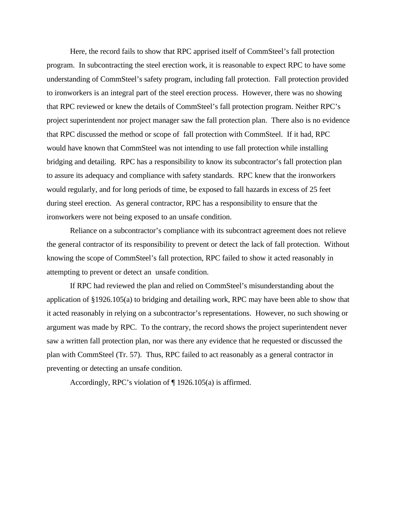Here, the record fails to show that RPC apprised itself of CommSteel's fall protection program. In subcontracting the steel erection work, it is reasonable to expect RPC to have some understanding of CommSteel's safety program, including fall protection. Fall protection provided to ironworkers is an integral part of the steel erection process. However, there was no showing that RPC reviewed or knew the details of CommSteel's fall protection program. Neither RPC's project superintendent nor project manager saw the fall protection plan. There also is no evidence that RPC discussed the method or scope of fall protection with CommSteel. If it had, RPC would have known that CommSteel was not intending to use fall protection while installing bridging and detailing. RPC has a responsibility to know its subcontractor's fall protection plan to assure its adequacy and compliance with safety standards. RPC knew that the ironworkers would regularly, and for long periods of time, be exposed to fall hazards in excess of 25 feet during steel erection. As general contractor, RPC has a responsibility to ensure that the ironworkers were not being exposed to an unsafe condition.

Reliance on a subcontractor's compliance with its subcontract agreement does not relieve the general contractor of its responsibility to prevent or detect the lack of fall protection. Without knowing the scope of CommSteel's fall protection, RPC failed to show it acted reasonably in attempting to prevent or detect an unsafe condition.

If RPC had reviewed the plan and relied on CommSteel's misunderstanding about the application of §1926.105(a) to bridging and detailing work, RPC may have been able to show that it acted reasonably in relying on a subcontractor's representations. However, no such showing or argument was made by RPC. To the contrary, the record shows the project superintendent never saw a written fall protection plan, nor was there any evidence that he requested or discussed the plan with CommSteel (Tr. 57). Thus, RPC failed to act reasonably as a general contractor in preventing or detecting an unsafe condition.

Accordingly, RPC's violation of ¶ 1926.105(a) is affirmed.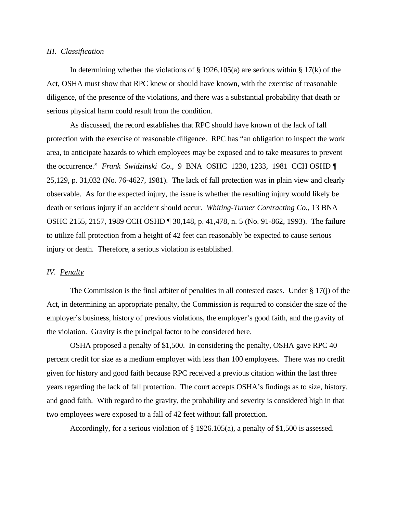#### *III. Classification*

In determining whether the violations of  $\S$  1926.105(a) are serious within  $\S$  17(k) of the Act, OSHA must show that RPC knew or should have known, with the exercise of reasonable diligence, of the presence of the violations, and there was a substantial probability that death or serious physical harm could result from the condition.

As discussed, the record establishes that RPC should have known of the lack of fall protection with the exercise of reasonable diligence. RPC has "an obligation to inspect the work area, to anticipate hazards to which employees may be exposed and to take measures to prevent the occurrence." *Frank Swidzinski Co*., 9 BNA OSHC 1230, 1233, 1981 CCH OSHD ¶ 25,129, p. 31,032 (No. 76-4627, 1981). The lack of fall protection was in plain view and clearly observable. As for the expected injury, the issue is whether the resulting injury would likely be death or serious injury if an accident should occur. *Whiting-Turner Contracting Co.*, 13 BNA OSHC 2155, 2157, 1989 CCH OSHD ¶ 30,148, p. 41,478, n. 5 (No. 91-862, 1993). The failure to utilize fall protection from a height of 42 feet can reasonably be expected to cause serious injury or death. Therefore, a serious violation is established.

#### *IV. Penalty*

The Commission is the final arbiter of penalties in all contested cases. Under  $\S 17(i)$  of the Act, in determining an appropriate penalty, the Commission is required to consider the size of the employer's business, history of previous violations, the employer's good faith, and the gravity of the violation. Gravity is the principal factor to be considered here.

OSHA proposed a penalty of \$1,500. In considering the penalty, OSHA gave RPC 40 percent credit for size as a medium employer with less than 100 employees. There was no credit given for history and good faith because RPC received a previous citation within the last three years regarding the lack of fall protection. The court accepts OSHA's findings as to size, history, and good faith. With regard to the gravity, the probability and severity is considered high in that two employees were exposed to a fall of 42 feet without fall protection.

Accordingly, for a serious violation of § 1926.105(a), a penalty of \$1,500 is assessed.